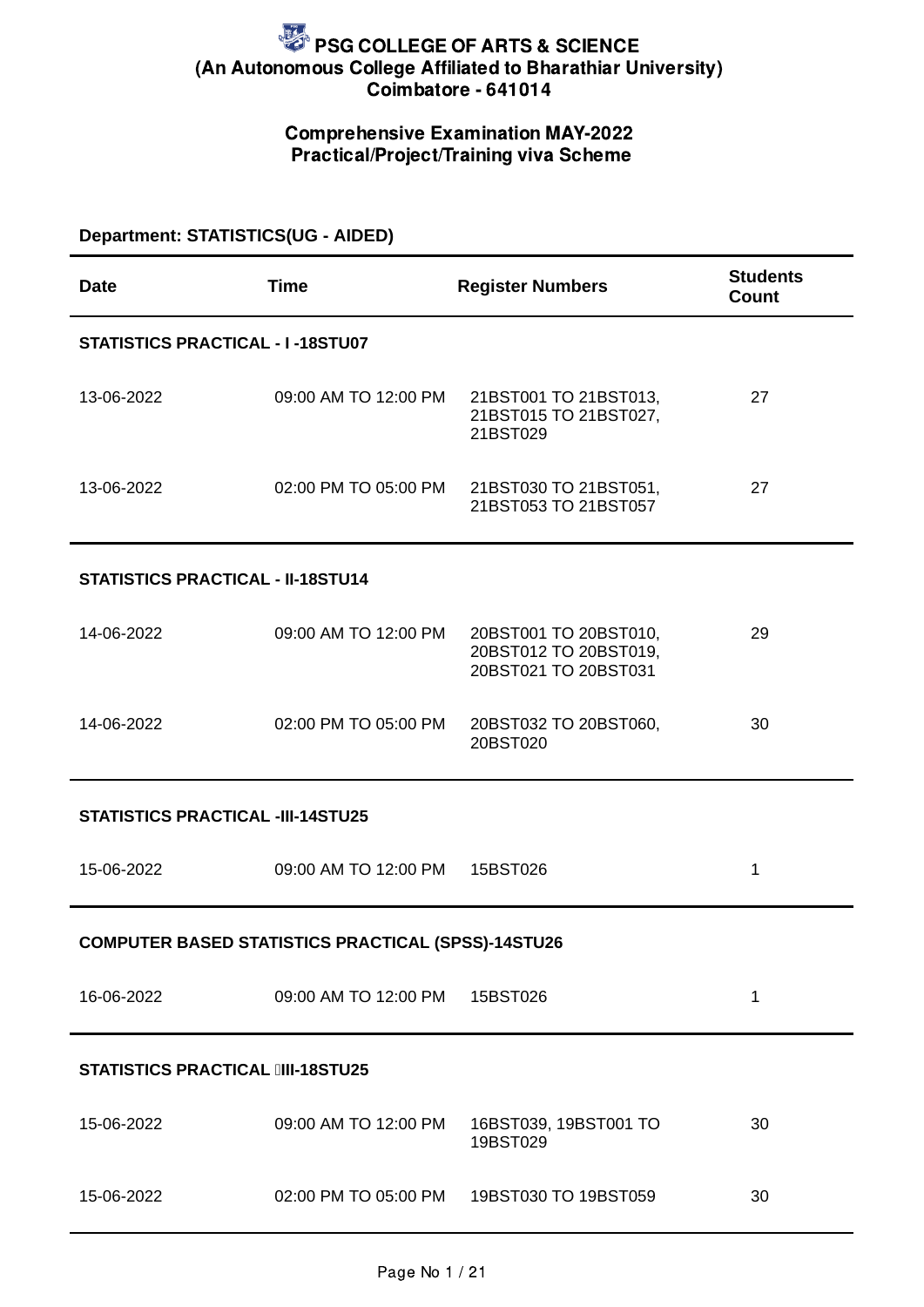### Comprehensive Examination MAY-2022 Practical/Project/Training viva Scheme

### **Department: STATISTICS(UG - AIDED)**

| <b>Date</b>                              | <b>Time</b>                                               | <b>Register Numbers</b>                                                | <b>Students</b><br>Count |  |
|------------------------------------------|-----------------------------------------------------------|------------------------------------------------------------------------|--------------------------|--|
| <b>STATISTICS PRACTICAL - I-18STU07</b>  |                                                           |                                                                        |                          |  |
| 13-06-2022                               | 09:00 AM TO 12:00 PM                                      | 21BST001 TO 21BST013,<br>21BST015 TO 21BST027,<br>21BST029             | 27                       |  |
| 13-06-2022                               | 02:00 PM TO 05:00 PM                                      | 21BST030 TO 21BST051,<br>21BST053 TO 21BST057                          | 27                       |  |
| <b>STATISTICS PRACTICAL - II-18STU14</b> |                                                           |                                                                        |                          |  |
| 14-06-2022                               | 09:00 AM TO 12:00 PM                                      | 20BST001 TO 20BST010,<br>20BST012 TO 20BST019,<br>20BST021 TO 20BST031 | 29                       |  |
| 14-06-2022                               | 02:00 PM TO 05:00 PM                                      | 20BST032 TO 20BST060,<br>20BST020                                      | 30                       |  |
| <b>STATISTICS PRACTICAL -III-14STU25</b> |                                                           |                                                                        |                          |  |
| 15-06-2022                               | 09:00 AM TO 12:00 PM                                      | 15BST026                                                               | $\mathbf{1}$             |  |
|                                          | <b>COMPUTER BASED STATISTICS PRACTICAL (SPSS)-14STU26</b> |                                                                        |                          |  |
| 16-06-2022                               | 09:00 AM TO 12:00 PM                                      | 15BST026                                                               | $\mathbf{1}$             |  |
| <b>STATISTICS PRACTICAL IIII-18STU25</b> |                                                           |                                                                        |                          |  |
| 15-06-2022                               | 09:00 AM TO 12:00 PM                                      | 16BST039, 19BST001 TO<br>19BST029                                      | 30                       |  |
| 15-06-2022                               | 02:00 PM TO 05:00 PM                                      | 19BST030 TO 19BST059                                                   | 30                       |  |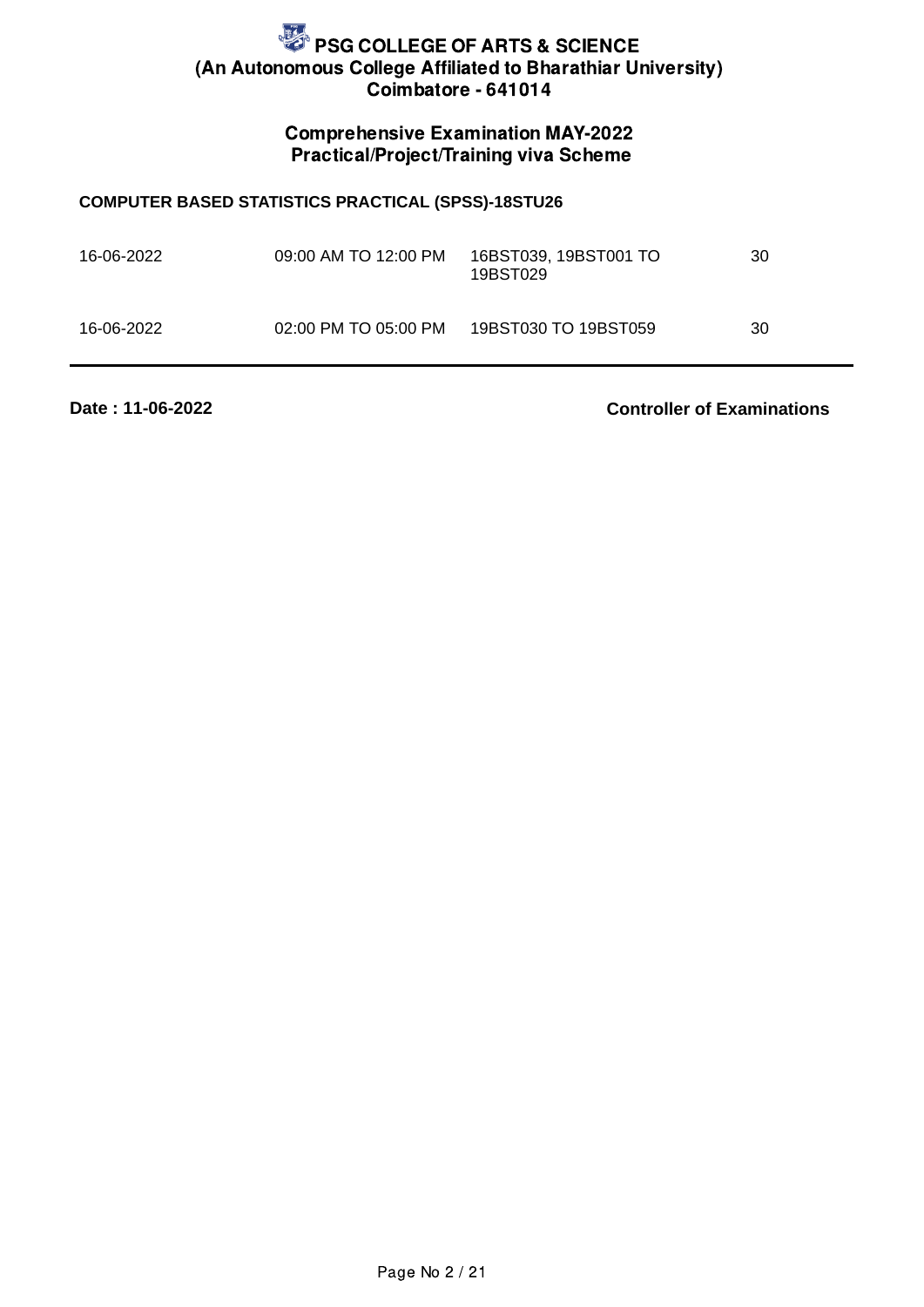### Comprehensive Examination MAY-2022 Practical/Project/Training viva Scheme

#### **COMPUTER BASED STATISTICS PRACTICAL (SPSS)-18STU26**

| 16-06-2022 | 09:00 AM TO 12:00 PM | 16BST039, 19BST001 TO<br>19BST029 | 30 |
|------------|----------------------|-----------------------------------|----|
| 16-06-2022 | 02:00 PM TO 05:00 PM | 19BST030 TO 19BST059              | 30 |

**Date : 11-06-2022**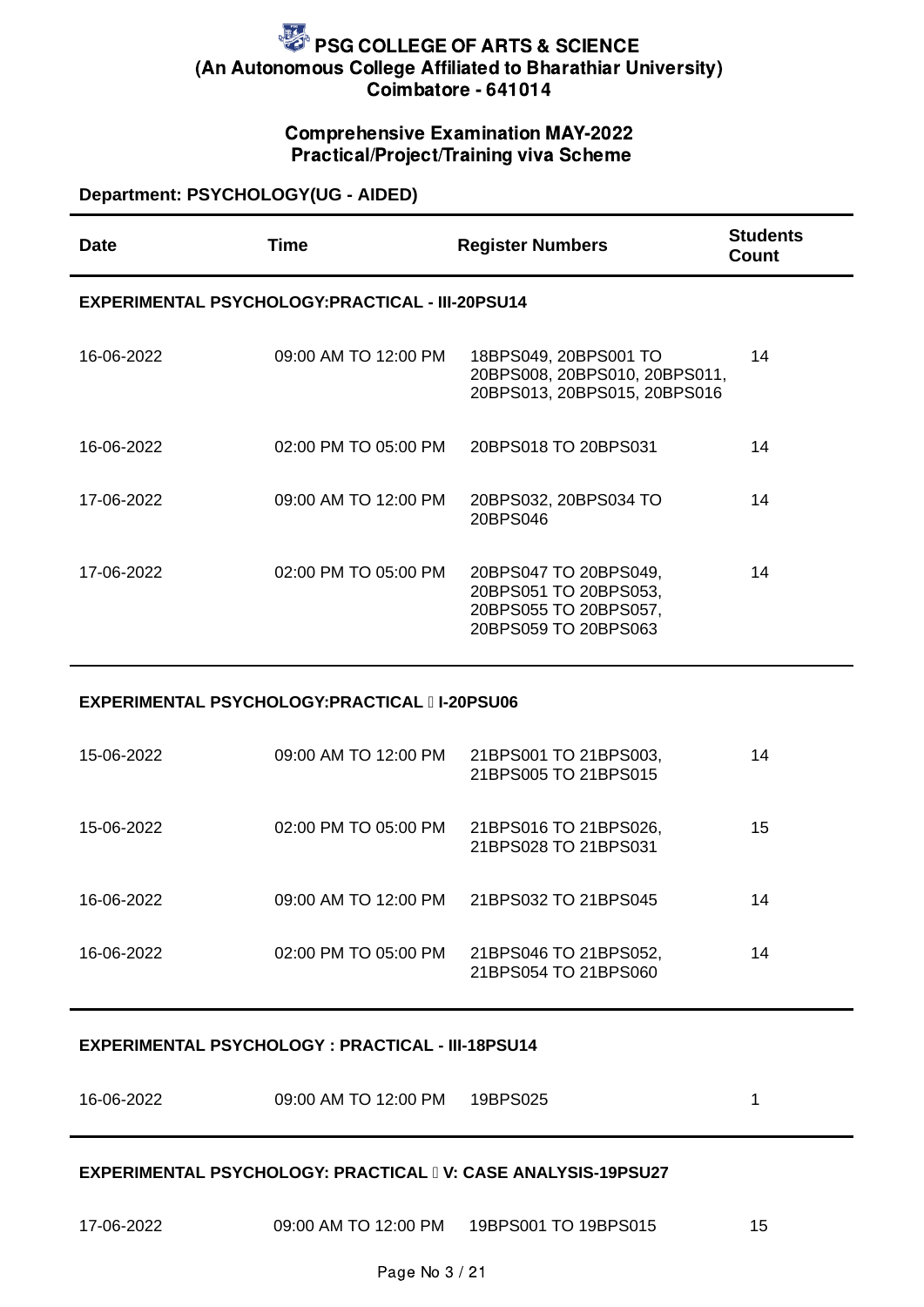#### Comprehensive Examination MAY-2022 Practical/Project/Training viva Scheme

### **Department: PSYCHOLOGY(UG - AIDED)**

| Date       | Time                                                    | <b>Register Numbers</b>                                                                         | <b>Students</b><br>Count |
|------------|---------------------------------------------------------|-------------------------------------------------------------------------------------------------|--------------------------|
|            | <b>EXPERIMENTAL PSYCHOLOGY: PRACTICAL - III-20PSU14</b> |                                                                                                 |                          |
| 16-06-2022 | 09:00 AM TO 12:00 PM                                    | 18BPS049, 20BPS001 TO<br>20BPS008, 20BPS010, 20BPS011,<br>20BPS013, 20BPS015, 20BPS016          | 14                       |
| 16-06-2022 | 02:00 PM TO 05:00 PM                                    | 20BPS018 TO 20BPS031                                                                            | 14                       |
| 17-06-2022 | 09:00 AM TO 12:00 PM                                    | 20BPS032, 20BPS034 TO<br>20BPS046                                                               | 14                       |
| 17-06-2022 | 02:00 PM TO 05:00 PM                                    | 20BPS047 TO 20BPS049,<br>20BPS051 TO 20BPS053,<br>20BPS055 TO 20BPS057,<br>20BPS059 TO 20BPS063 | 14                       |

#### **EXPERIMENTAL PSYCHOLOGY:PRACTICAL I-20PSU06**

| 15-06-2022 | 09:00 AM TO 12:00 PM | 21BPS001 TO 21BPS003,<br>21BPS005 TO 21BPS015 | 14 |
|------------|----------------------|-----------------------------------------------|----|
| 15-06-2022 | 02:00 PM TO 05:00 PM | 21BPS016 TO 21BPS026,<br>21BPS028 TO 21BPS031 | 15 |
| 16-06-2022 | 09:00 AM TO 12:00 PM | 21BPS032 TO 21BPS045                          | 14 |
| 16-06-2022 | 02:00 PM TO 05:00 PM | 21BPS046 TO 21BPS052,<br>21BPS054 TO 21BPS060 | 14 |

#### **EXPERIMENTAL PSYCHOLOGY : PRACTICAL - III-18PSU14**

| 16-06-2022 | 09:00 AM TO 12:00 PM | 19BPS025 |  |
|------------|----------------------|----------|--|
|            |                      |          |  |

#### **EXPERIMENTAL PSYCHOLOGY: PRACTICAL V: CASE ANALYSIS-19PSU27**

| 17-06-2022 | 09:00 AM TO 12:00 PM | 19BPS001 TO 19BPS015 |  |
|------------|----------------------|----------------------|--|
|            |                      |                      |  |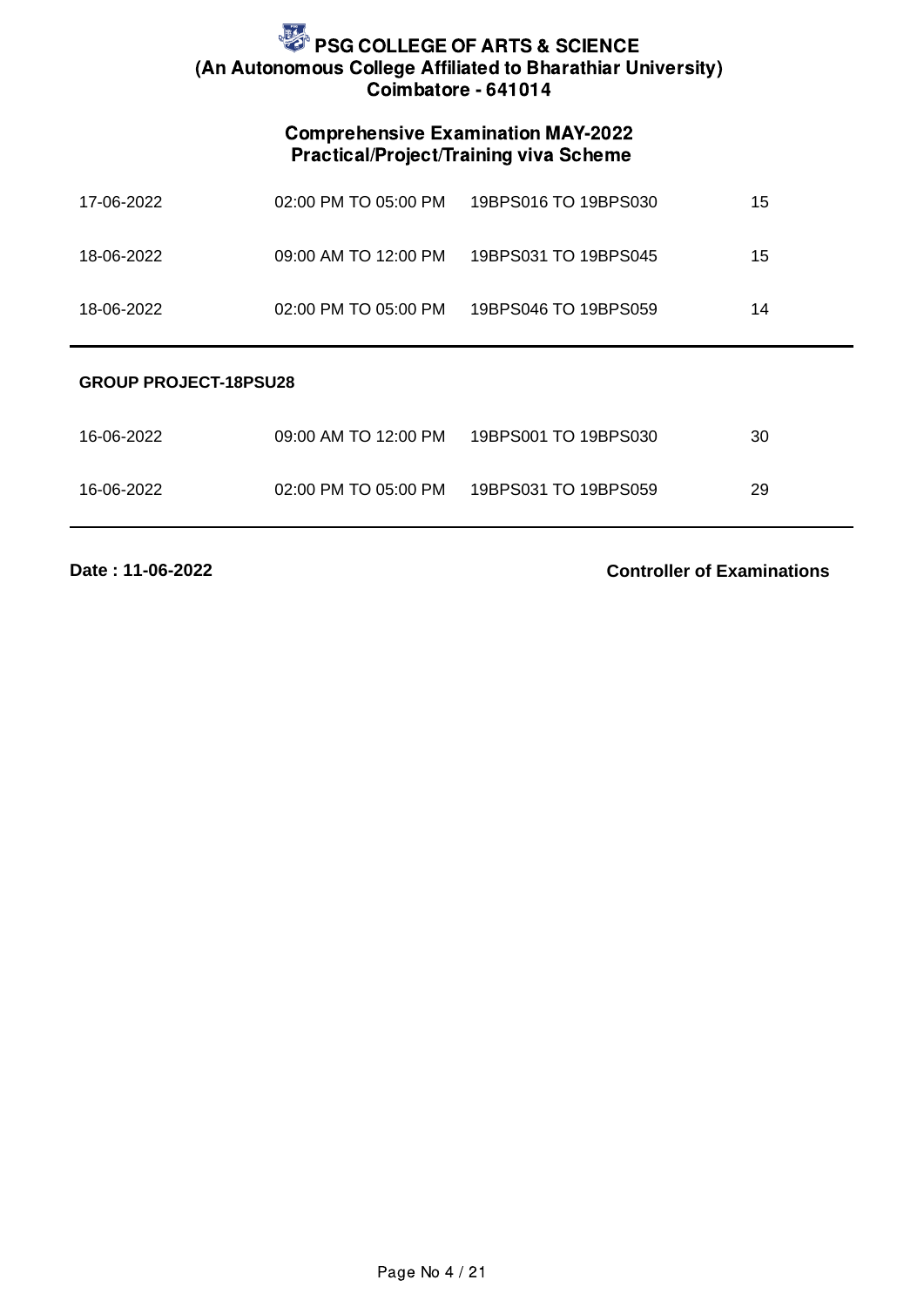### Comprehensive Examination MAY-2022 Practical/Project/Training viva Scheme

| 17-06-2022 | 02:00 PM TO 05:00 PM | 19BPS016 TO 19BPS030 | 15 |
|------------|----------------------|----------------------|----|
| 18-06-2022 | 09:00 AM TO 12:00 PM | 19BPS031 TO 19BPS045 | 15 |
| 18-06-2022 | 02:00 PM TO 05:00 PM | 19BPS046 TO 19BPS059 | 14 |
|            |                      |                      |    |

#### **GROUP PROJECT-18PSU28**

| 16-06-2022 | 09:00 AM TO 12:00 PM | 19BPS001 TO 19BPS030 | 30 |
|------------|----------------------|----------------------|----|
| 16-06-2022 | 02:00 PM TO 05:00 PM | 19BPS031 TO 19BPS059 | 29 |

**Date : 11-06-2022**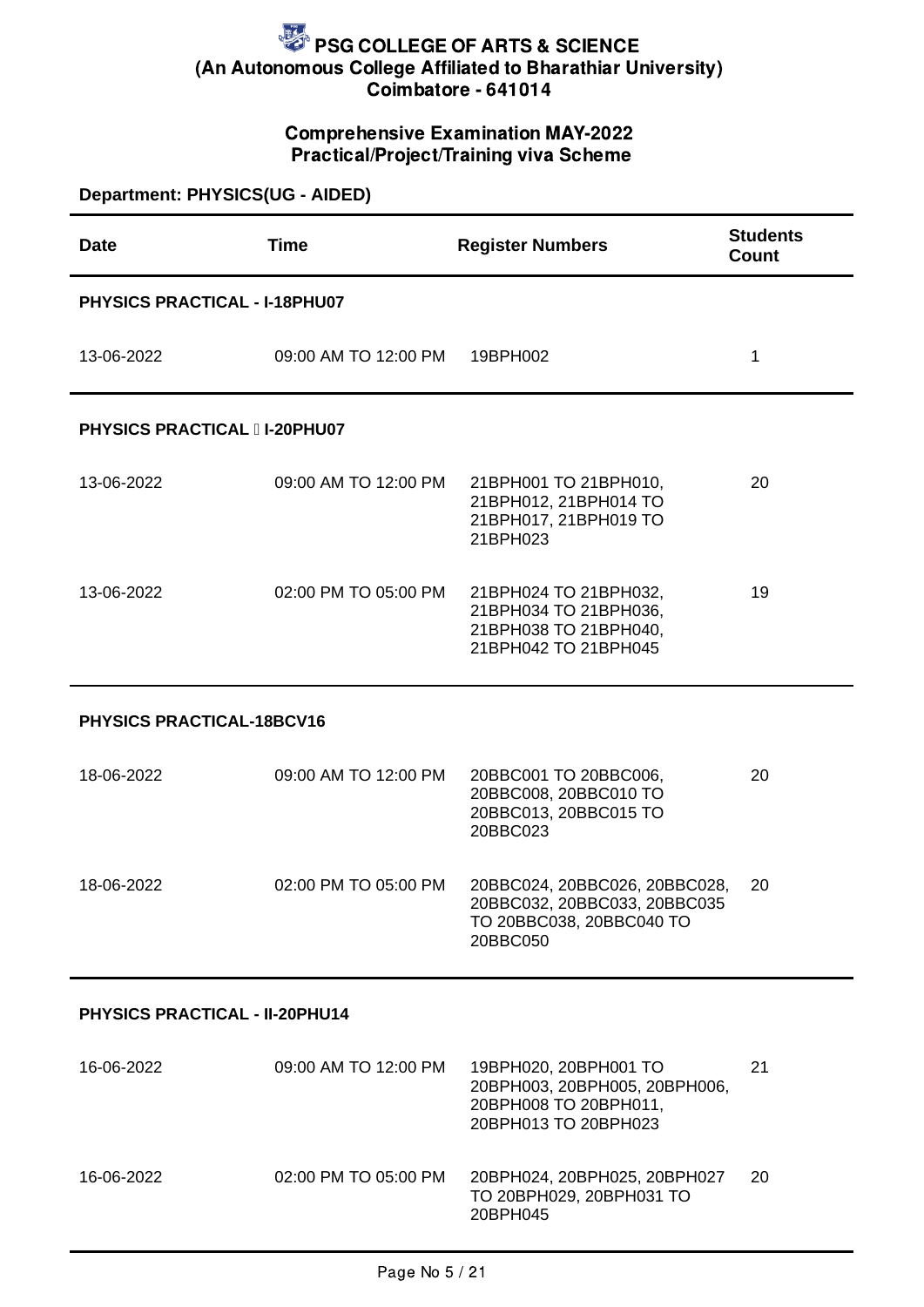### Comprehensive Examination MAY-2022 Practical/Project/Training viva Scheme

| Department: PHYSICS(UG - AIDED)       |                      |                                                                                                         |                                 |  |
|---------------------------------------|----------------------|---------------------------------------------------------------------------------------------------------|---------------------------------|--|
| Date                                  | <b>Time</b>          | <b>Register Numbers</b>                                                                                 | <b>Students</b><br><b>Count</b> |  |
| PHYSICS PRACTICAL - I-18PHU07         |                      |                                                                                                         |                                 |  |
| 13-06-2022                            | 09:00 AM TO 12:00 PM | 19BPH002                                                                                                | $\mathbf{1}$                    |  |
| <b>PHYSICS PRACTICAL II-20PHU07</b>   |                      |                                                                                                         |                                 |  |
| 13-06-2022                            | 09:00 AM TO 12:00 PM | 21BPH001 TO 21BPH010,<br>21BPH012, 21BPH014 TO<br>21BPH017, 21BPH019 TO<br>21BPH023                     | 20                              |  |
| 13-06-2022                            | 02:00 PM TO 05:00 PM | 21BPH024 TO 21BPH032,<br>21ВРН034 ТО 21ВРН036,<br>21BPH038 TO 21BPH040,<br>21BPH042 TO 21BPH045         | 19                              |  |
| PHYSICS PRACTICAL-18BCV16             |                      |                                                                                                         |                                 |  |
| 18-06-2022                            | 09:00 AM TO 12:00 PM | 20BBC001 TO 20BBC006,<br>20BBC008, 20BBC010 TO<br>20BBC013, 20BBC015 TO<br>20BBC023                     | 20                              |  |
| 18-06-2022                            | 02:00 PM TO 05:00 PM | 20BBC024, 20BBC026, 20BBC028,<br>20BBC032, 20BBC033, 20BBC035<br>TO 20BBC038, 20BBC040 TO<br>20BBC050   | 20                              |  |
| <b>PHYSICS PRACTICAL - II-20PHU14</b> |                      |                                                                                                         |                                 |  |
| 16-06-2022                            | 09:00 AM TO 12:00 PM | 19BPH020, 20BPH001 TO<br>20ВРН003, 20ВРН005, 20ВРН006,<br>20ВРН008 ТО 20ВРН011,<br>20BPH013 TO 20BPH023 | 21                              |  |
| 16-06-2022                            | 02:00 PM TO 05:00 PM | 20BPH024, 20BPH025, 20BPH027<br>TO 20BPH029, 20BPH031 TO<br>20BPH045                                    | 20                              |  |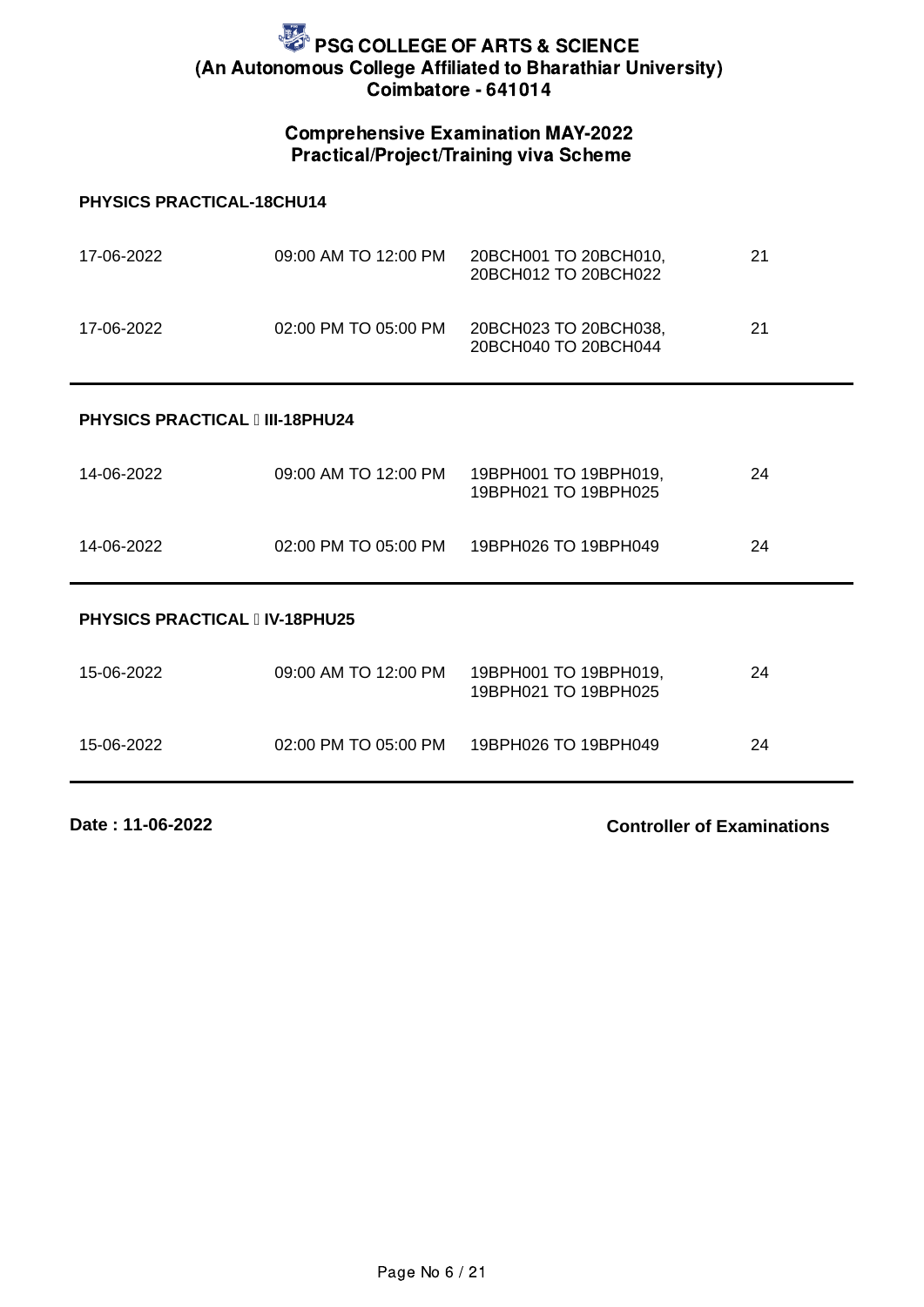#### Comprehensive Examination MAY-2022 Practical/Project/Training viva Scheme

#### **PHYSICS PRACTICAL-18CHU14**

| 17-06-2022 | 09:00 AM TO 12:00 PM | 20BCH001 TO 20BCH010.<br>20BCH012 TO 20BCH022 | 21 |
|------------|----------------------|-----------------------------------------------|----|
| 17-06-2022 | 02:00 PM TO 05:00 PM | 20BCH023 TO 20BCH038,<br>20BCH040 TO 20BCH044 | 21 |

#### **PHYSICS PRACTICAL III-18PHU24**

| 14-06-2022 | 09:00 AM TO 12:00 PM | 19BPH001 TO 19BPH019,<br>19BPH021 TO 19BPH025 | 24 |
|------------|----------------------|-----------------------------------------------|----|
| 14-06-2022 |                      | 02:00 PM TO 05:00 PM 19BPH026 TO 19BPH049     | 24 |

#### **PHYSICS PRACTICAL IV-18PHU25**

| 15-06-2022 | 09:00 AM TO 12:00 PM | 19BPH001 TO 19BPH019.<br>19BPH021 TO 19BPH025 | 24 |
|------------|----------------------|-----------------------------------------------|----|
| 15-06-2022 | 02:00 PM TO 05:00 PM | 19BPH026 TO 19BPH049                          | 24 |

**Date : 11-06-2022**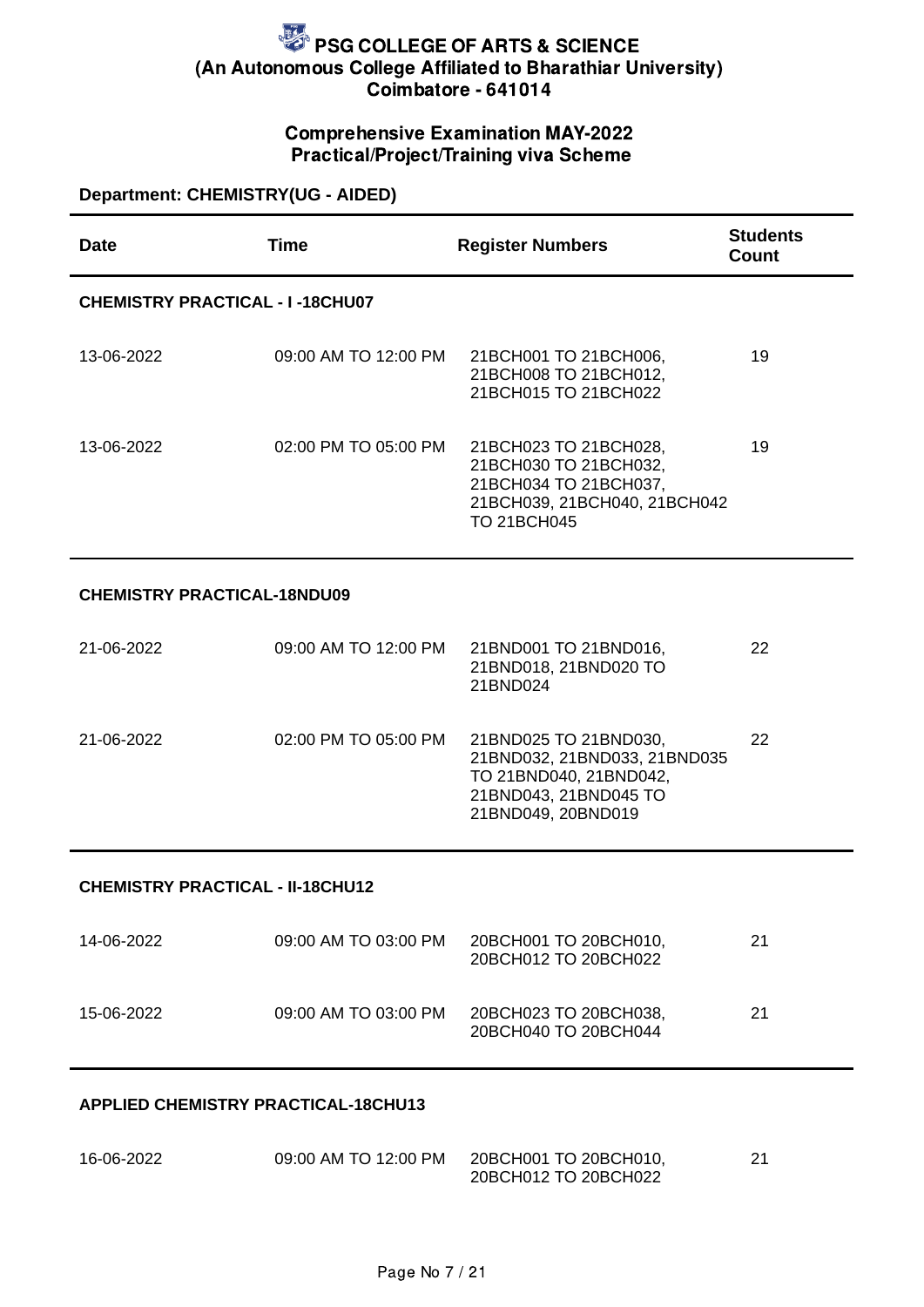### Comprehensive Examination MAY-2022 Practical/Project/Training viva Scheme

### **Department: CHEMISTRY(UG - AIDED)**

| <b>Date</b>                             | <b>Time</b>          | <b>Register Numbers</b>                                                                                                        | <b>Students</b><br><b>Count</b> |  |
|-----------------------------------------|----------------------|--------------------------------------------------------------------------------------------------------------------------------|---------------------------------|--|
| <b>CHEMISTRY PRACTICAL - I-18CHU07</b>  |                      |                                                                                                                                |                                 |  |
| 13-06-2022                              | 09:00 AM TO 12:00 PM | 21BCH001 TO 21BCH006,<br>21BCH008 TO 21BCH012,<br>21BCH015 TO 21BCH022                                                         | 19                              |  |
| 13-06-2022                              | 02:00 PM TO 05:00 PM | 21BCH023 TO 21BCH028,<br>21BCH030 TO 21BCH032,<br>21BCH034 TO 21BCH037,<br>21BCH039, 21BCH040, 21BCH042<br><b>TO 21BCH045</b>  | 19                              |  |
| <b>CHEMISTRY PRACTICAL-18NDU09</b>      |                      |                                                                                                                                |                                 |  |
| 21-06-2022                              | 09:00 AM TO 12:00 PM | 21BND001 TO 21BND016,<br>21BND018, 21BND020 TO<br>21BND024                                                                     | 22                              |  |
| 21-06-2022                              | 02:00 PM TO 05:00 PM | 21BND025 TO 21BND030,<br>21BND032, 21BND033, 21BND035<br>TO 21BND040, 21BND042,<br>21BND043, 21BND045 TO<br>21BND049, 20BND019 | 22                              |  |
| <b>CHEMISTRY PRACTICAL - II-18CHU12</b> |                      |                                                                                                                                |                                 |  |
| 14-06-2022                              | 09:00 AM TO 03:00 PM | 20BCH001 TO 20BCH010,<br>20BCH012 TO 20BCH022                                                                                  | 21                              |  |
| 15-06-2022                              | 09:00 AM TO 03:00 PM | 20BCH023 TO 20BCH038,<br>20BCH040 TO 20BCH044                                                                                  | 21                              |  |

#### **APPLIED CHEMISTRY PRACTICAL-18CHU13**

| 16-06-2022 | 09:00 AM TO 12:00 PM | 20BCH001 TO 20BCH010, | ີ<br>∠⊥ |
|------------|----------------------|-----------------------|---------|
|            |                      | 20BCH012 TO 20BCH022  |         |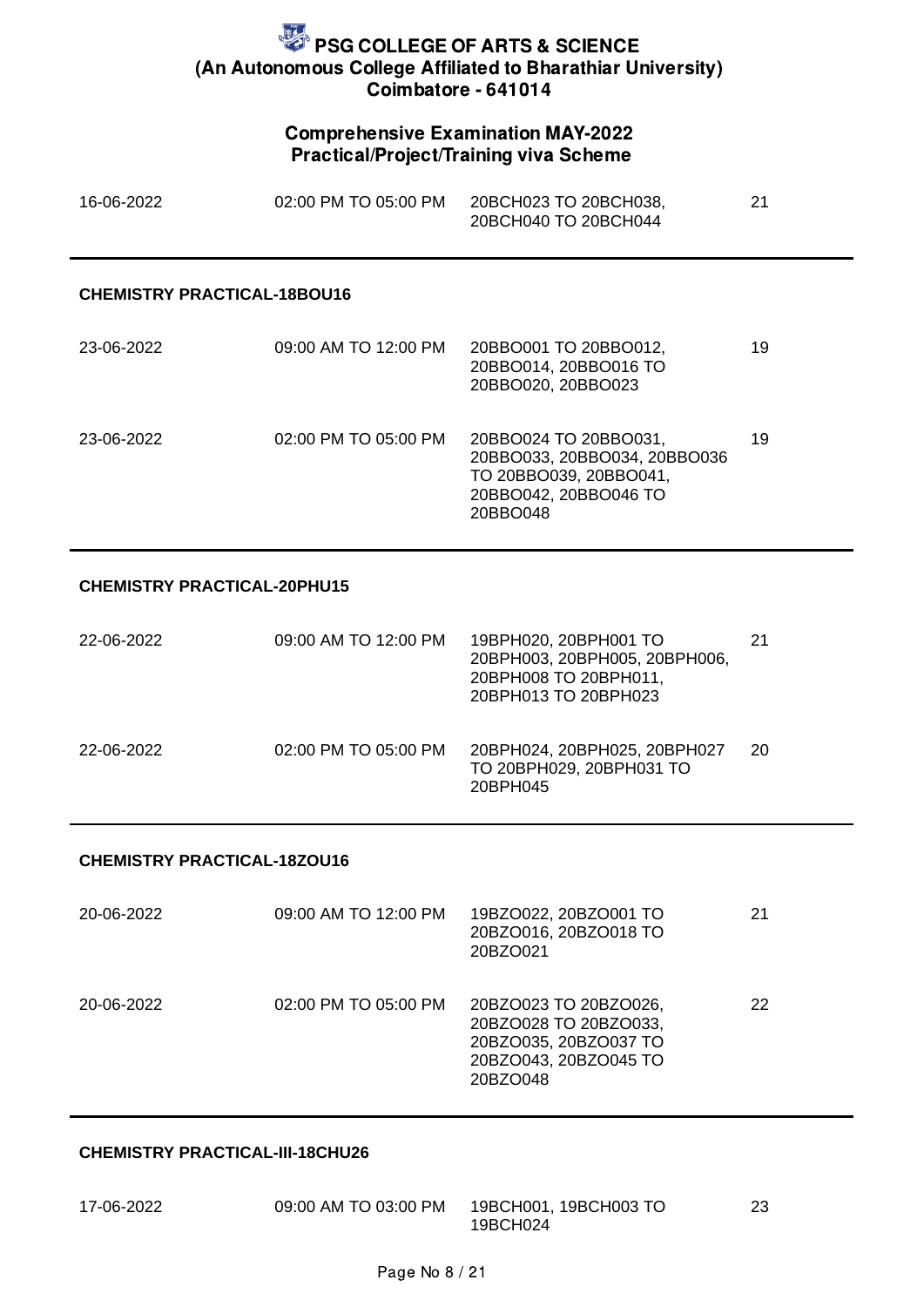#### Comprehensive Examination MAY-2022 Practical/Project/Training viva Scheme

| 16-06-2022 | 02:00 PM TO 05:00 PM | 20BCH023 TO 20BCH038, |  |
|------------|----------------------|-----------------------|--|
|            |                      | 20BCH040 TO 20BCH044  |  |

#### **CHEMISTRY PRACTICAL-18BOU16**

| 23-06-2022 | 09:00 AM TO 12:00 PM | 20BBO001 TO 20BBO012,<br>20BBO014, 20BBO016 TO<br>20BBO020, 20BBO023                                                 | 19 |
|------------|----------------------|----------------------------------------------------------------------------------------------------------------------|----|
| 23-06-2022 | 02:00 PM TO 05:00 PM | 20BBO024 TO 20BBO031,<br>20BBO033, 20BBO034, 20BBO036<br>TO 20BBO039, 20BBO041,<br>20BBO042, 20BBO046 TO<br>20BBO048 | 19 |

#### **CHEMISTRY PRACTICAL-20PHU15**

| 22-06-2022 | 09:00 AM TO 12:00 PM | 19BPH020, 20BPH001 TO<br>20ВРН003, 20ВРН005, 20ВРН006,<br>20BPH008 TO 20BPH011,<br>20BPH013 TO 20BPH023 | 21 |
|------------|----------------------|---------------------------------------------------------------------------------------------------------|----|
| 22-06-2022 | 02:00 PM TO 05:00 PM | 20BPH024, 20BPH025, 20BPH027<br>TO 20BPH029, 20BPH031 TO<br>20BPH045                                    | 20 |

#### **CHEMISTRY PRACTICAL-18ZOU16**

| 20-06-2022 | 09:00 AM TO 12:00 PM | 19BZO022, 20BZO001 TO<br>20BZO016, 20BZO018 TO<br>20BZO021                                                   | 21 |
|------------|----------------------|--------------------------------------------------------------------------------------------------------------|----|
| 20-06-2022 | 02:00 PM TO 05:00 PM | 20BZO023 TO 20BZO026,<br>20BZO028 TO 20BZO033,<br>20BZO035, 20BZO037 TO<br>20BZO043, 20BZO045 TO<br>20BZO048 | 22 |

#### **CHEMISTRY PRACTICAL-III-18CHU26**

| 17-06-2022 | 09:00 AM TO 03:00 PM | 19BCH001, 19BCH003 TO |  |
|------------|----------------------|-----------------------|--|
|            |                      | 19BCH024              |  |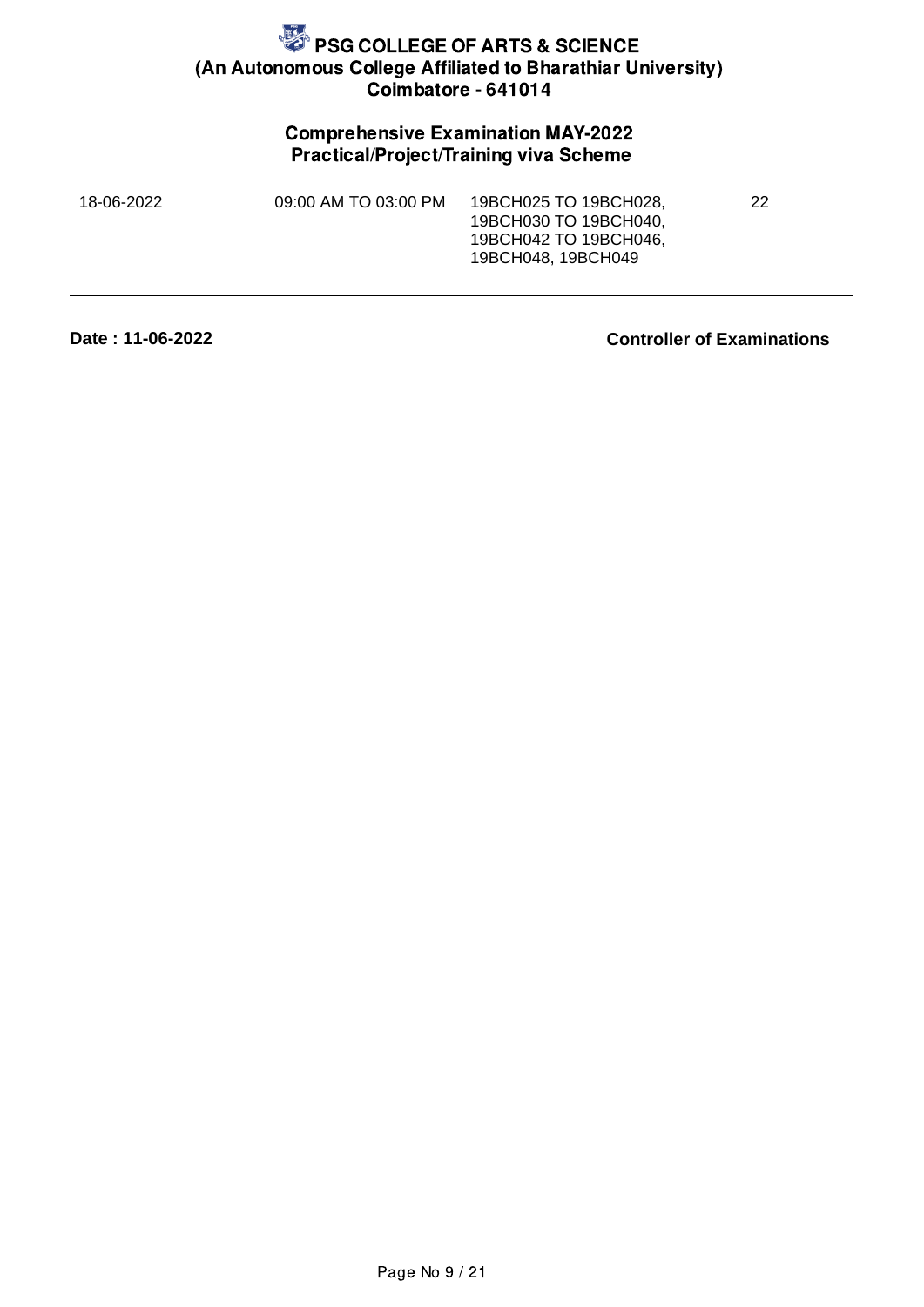### Comprehensive Examination MAY-2022 Practical/Project/Training viva Scheme

| 18-06-2022 | 09:00 AM TO 03:00 PM | 19BCH025 TO 19BCH028.<br>19BCH030 TO 19BCH040,<br>19BCH042 TO 19BCH046,<br>19BCH048, 19BCH049 | 22 |
|------------|----------------------|-----------------------------------------------------------------------------------------------|----|
|            |                      |                                                                                               |    |

**Date : 11-06-2022**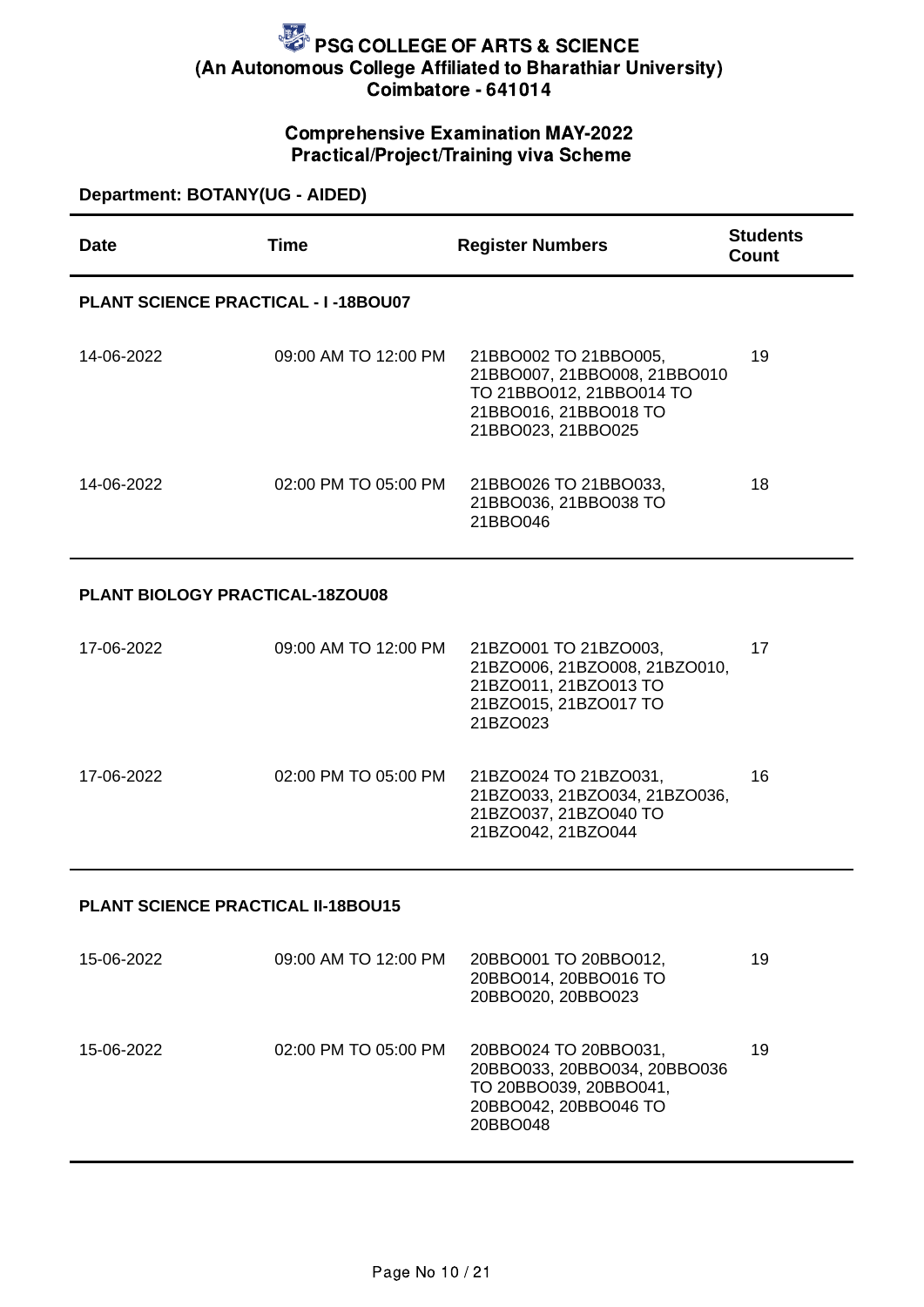### Comprehensive Examination MAY-2022 Practical/Project/Training viva Scheme

### **Department: BOTANY(UG - AIDED)**

| <b>Date</b>                            | <b>Time</b>                                | <b>Register Numbers</b>                                                                                                          | <b>Students</b><br>Count |  |  |
|----------------------------------------|--------------------------------------------|----------------------------------------------------------------------------------------------------------------------------------|--------------------------|--|--|
|                                        | <b>PLANT SCIENCE PRACTICAL - I-18BOU07</b> |                                                                                                                                  |                          |  |  |
| 14-06-2022                             | 09:00 AM TO 12:00 PM                       | 21BBO002 TO 21BBO005,<br>21BBO007, 21BBO008, 21BBO010<br>TO 21BBO012, 21BBO014 TO<br>21BBO016, 21BBO018 TO<br>21BBO023, 21BBO025 | 19                       |  |  |
| 14-06-2022                             | 02:00 PM TO 05:00 PM                       | 21BBO026 TO 21BBO033,<br>21BBO036, 21BBO038 TO<br>21BBO046                                                                       | 18                       |  |  |
| <b>PLANT BIOLOGY PRACTICAL-18ZOU08</b> |                                            |                                                                                                                                  |                          |  |  |
| 17-06-2022                             | 09:00 AM TO 12:00 PM                       | 21BZO001 TO 21BZO003,<br>21BZO006, 21BZO008, 21BZO010,<br>21BZO011, 21BZO013 TO<br>21BZO015, 21BZO017 TO<br>21BZO023             | 17                       |  |  |
| 17-06-2022                             | 02:00 PM TO 05:00 PM                       | 21BZO024 TO 21BZO031,<br>21BZO033, 21BZO034, 21BZO036,<br>21BZO037, 21BZO040 TO<br>21BZO042, 21BZO044                            | 16                       |  |  |

#### **PLANT SCIENCE PRACTICAL II-18BOU15**

| 15-06-2022 | 09:00 AM TO 12:00 PM | 20BBO001 TO 20BBO012,<br>20BBO014, 20BBO016 TO<br>20BBO020, 20BBO023                                                 | 19 |
|------------|----------------------|----------------------------------------------------------------------------------------------------------------------|----|
| 15-06-2022 | 02:00 PM TO 05:00 PM | 20BBO024 TO 20BBO031,<br>20BBO033, 20BBO034, 20BBO036<br>TO 20BBO039, 20BBO041,<br>20BBO042, 20BBO046 TO<br>20BBO048 | 19 |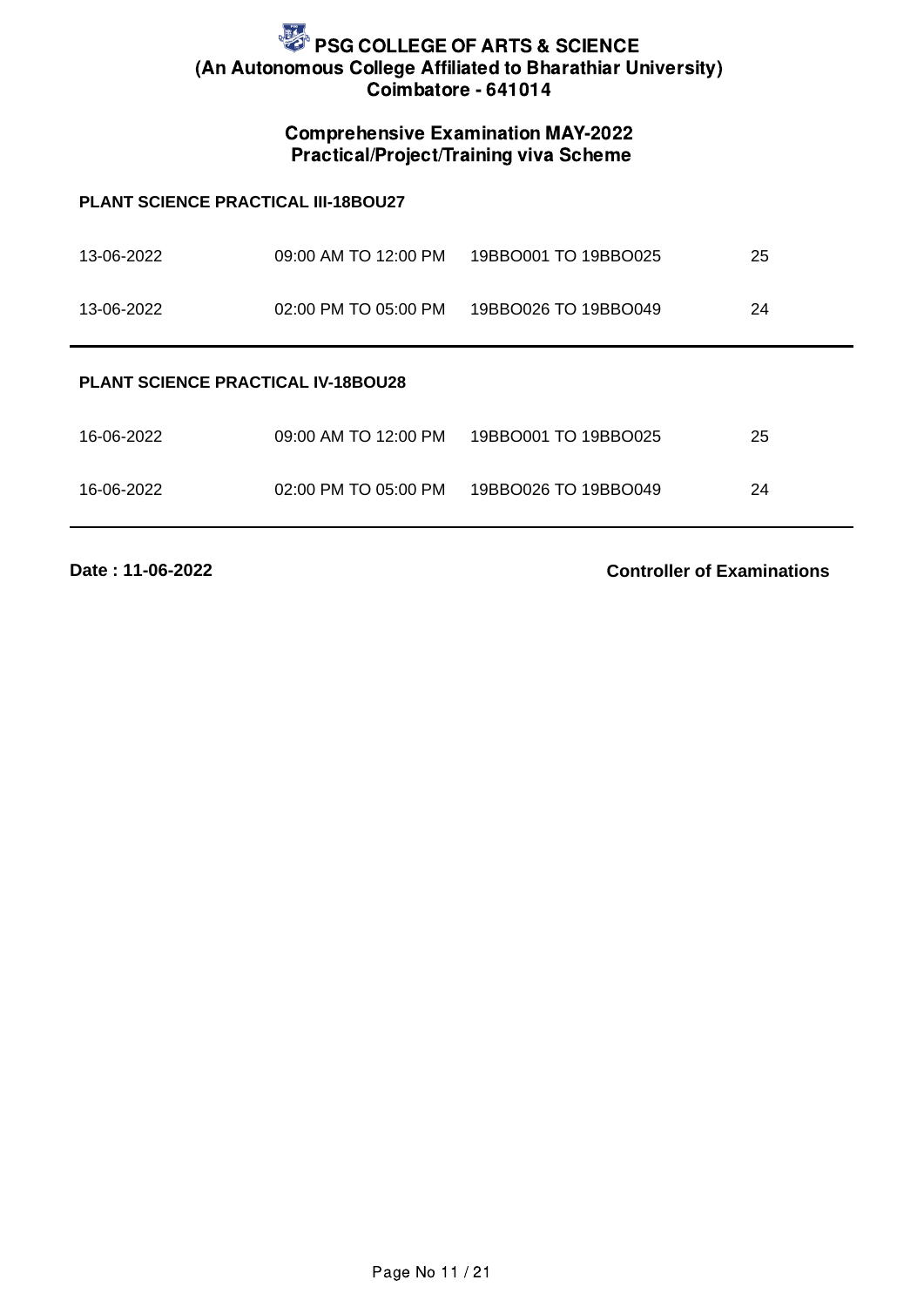### Comprehensive Examination MAY-2022 Practical/Project/Training viva Scheme

#### **PLANT SCIENCE PRACTICAL III-18BOU27**

| 13-06-2022                                | 09:00 AM TO 12:00 PM | 19BBO001 TO 19BBO025 | 25 |  |
|-------------------------------------------|----------------------|----------------------|----|--|
| 13-06-2022                                | 02:00 PM TO 05:00 PM | 19BBO026 TO 19BBO049 | 24 |  |
| <b>PLANT SCIENCE PRACTICAL IV-18BOU28</b> |                      |                      |    |  |
| 16-06-2022                                | 09:00 AM TO 12:00 PM | 19BBO001 TO 19BBO025 | 25 |  |
| 16-06-2022                                | 02:00 PM TO 05:00 PM | 19BBO026 TO 19BBO049 | 24 |  |

**Date : 11-06-2022**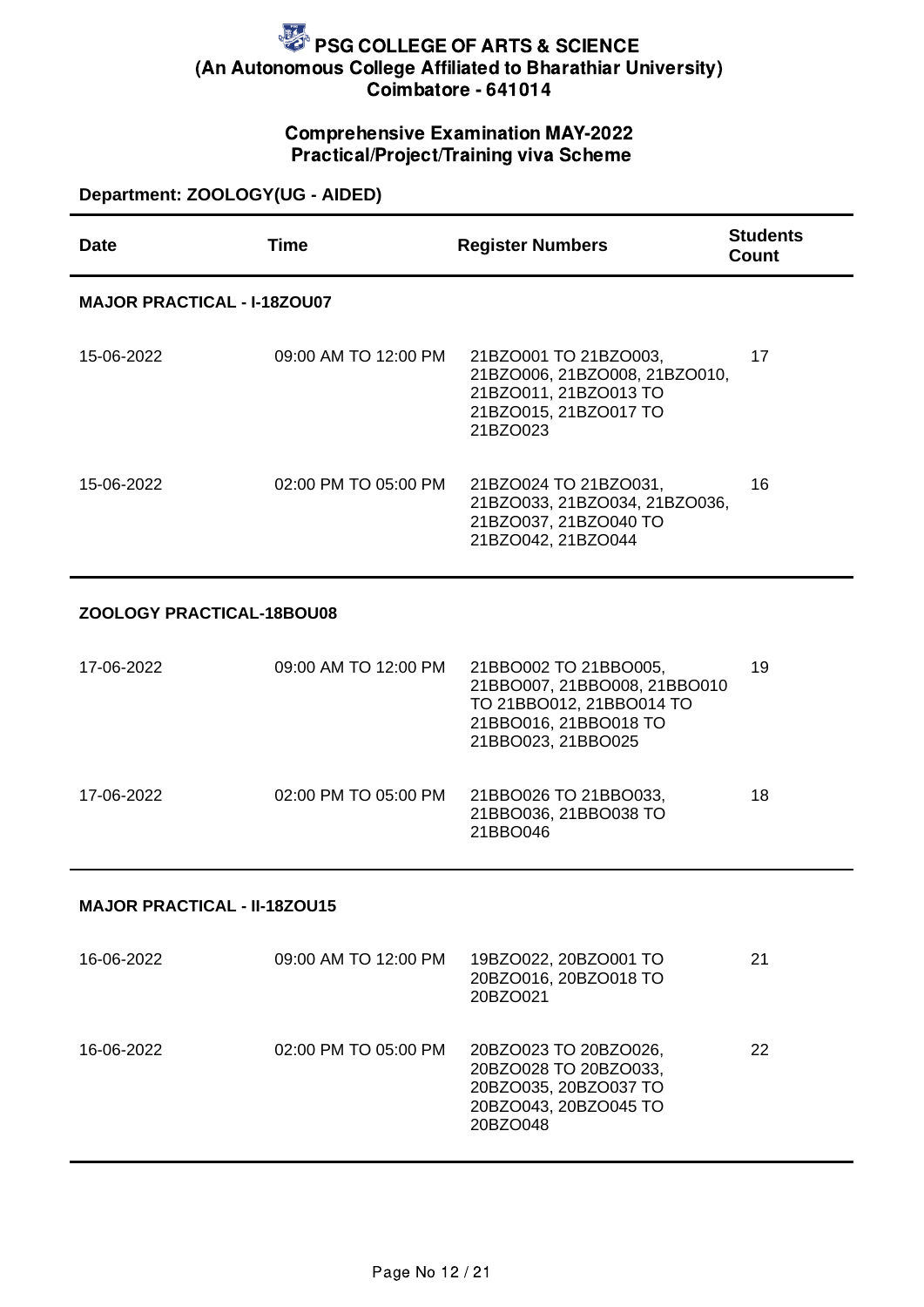### Comprehensive Examination MAY-2022 Practical/Project/Training viva Scheme

### **Department: ZOOLOGY(UG - AIDED)**

| <b>Date</b>                         | <b>Time</b>          | <b>Register Numbers</b>                                                                                                          | <b>Students</b><br>Count |  |
|-------------------------------------|----------------------|----------------------------------------------------------------------------------------------------------------------------------|--------------------------|--|
| <b>MAJOR PRACTICAL - I-18ZOU07</b>  |                      |                                                                                                                                  |                          |  |
| 15-06-2022                          | 09:00 AM TO 12:00 PM | 21BZO001 TO 21BZO003,<br>21BZO006, 21BZO008, 21BZO010,<br>21BZO011, 21BZO013 TO<br>21BZO015, 21BZO017 TO<br>21BZO023             | 17                       |  |
| 15-06-2022                          | 02:00 PM TO 05:00 PM | 21BZO024 TO 21BZO031,<br>21BZO033, 21BZO034, 21BZO036,<br>21BZO037, 21BZO040 TO<br>21BZO042, 21BZO044                            | 16                       |  |
| ZOOLOGY PRACTICAL-18BOU08           |                      |                                                                                                                                  |                          |  |
| 17-06-2022                          | 09:00 AM TO 12:00 PM | 21BBO002 TO 21BBO005,<br>21BBO007, 21BBO008, 21BBO010<br>TO 21BBO012, 21BBO014 TO<br>21BBO016, 21BBO018 TO<br>21BBO023, 21BBO025 | 19                       |  |
| 17-06-2022                          | 02:00 PM TO 05:00 PM | 21BBO026 TO 21BBO033,<br>21BBO036, 21BBO038 TO<br>21BBO046                                                                       | 18                       |  |
| <b>MAJOR PRACTICAL - II-18ZOU15</b> |                      |                                                                                                                                  |                          |  |
| 16-06-2022                          | 09:00 AM TO 12:00 PM | 19BZO022, 20BZO001 TO<br>20BZO016, 20BZO018 TO<br>20BZO021                                                                       | 21                       |  |

| 16-06-2022 | 02:00 PM TO 05:00 PM | 20BZO023 TO 20BZO026.<br>20BZO028 TO 20BZO033, | 22 |
|------------|----------------------|------------------------------------------------|----|
|            |                      | 20BZO035, 20BZO037 TO                          |    |
|            |                      | 20BZO043, 20BZO045 TO                          |    |
|            |                      | 20BZO048                                       |    |
|            |                      |                                                |    |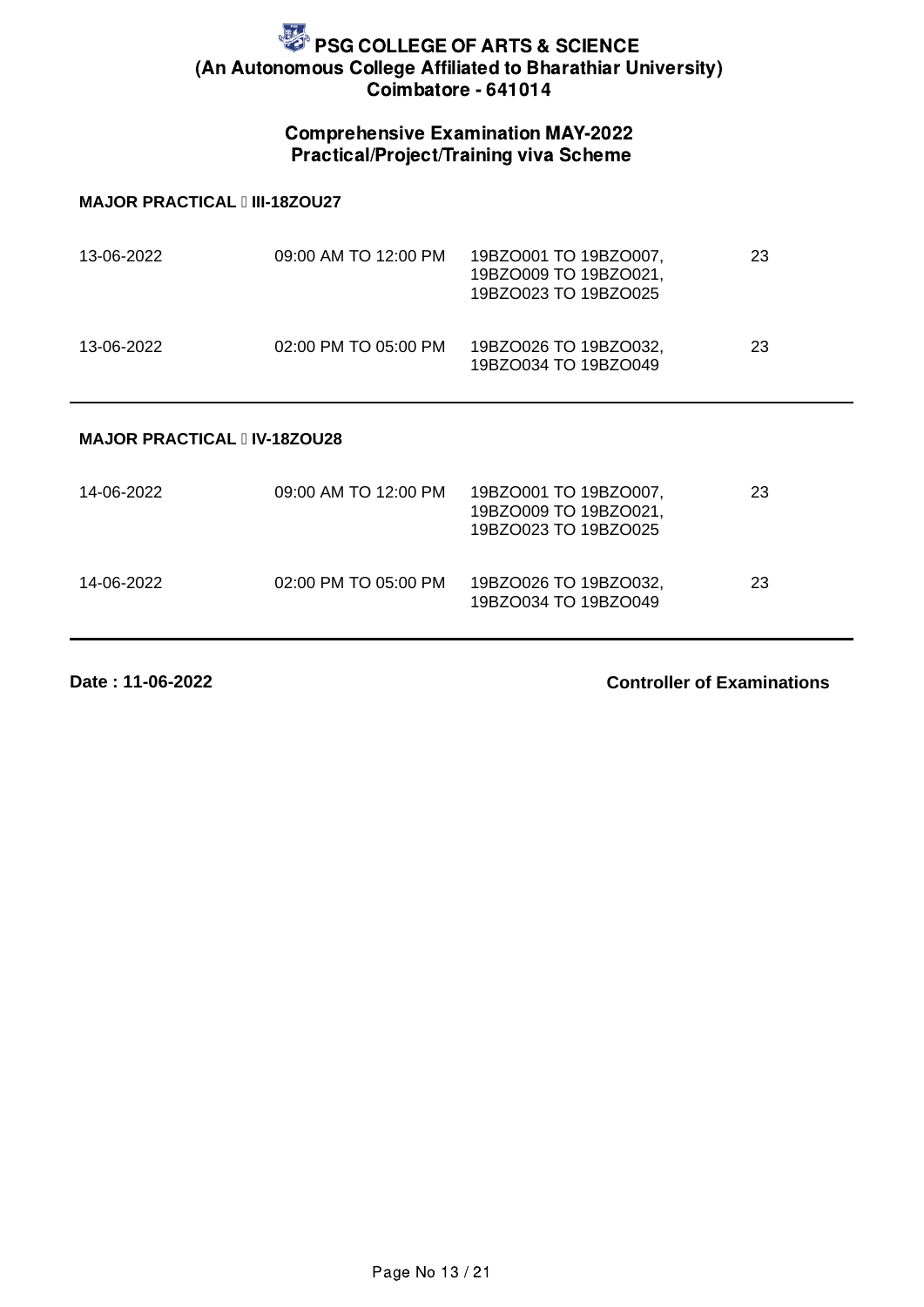### Comprehensive Examination MAY-2022 Practical/Project/Training viva Scheme

#### **MAJOR PRACTICAL III-18ZOU27**

| 13-06-2022 | 09:00 AM TO 12:00 PM | 19BZO001 TO 19BZO007,<br>19BZO009 TO 19BZO021,<br>19BZO023 TO 19BZO025 | 23 |
|------------|----------------------|------------------------------------------------------------------------|----|
| 13-06-2022 | 02:00 PM TO 05:00 PM | 19BZO026 TO 19BZO032,<br>19BZO034 TO 19BZO049                          | 23 |

#### **MAJOR PRACTICAL IV-18ZOU28**

| 14-06-2022 | 09:00 AM TO 12:00 PM | 19BZO001 TO 19BZO007,<br>19BZO009 TO 19BZO021,<br>19BZO023 TO 19BZO025 | 23 |
|------------|----------------------|------------------------------------------------------------------------|----|
| 14-06-2022 | 02:00 PM TO 05:00 PM | 19BZO026 TO 19BZO032,<br>19BZO034 TO 19BZO049                          | 23 |

**Date : 11-06-2022**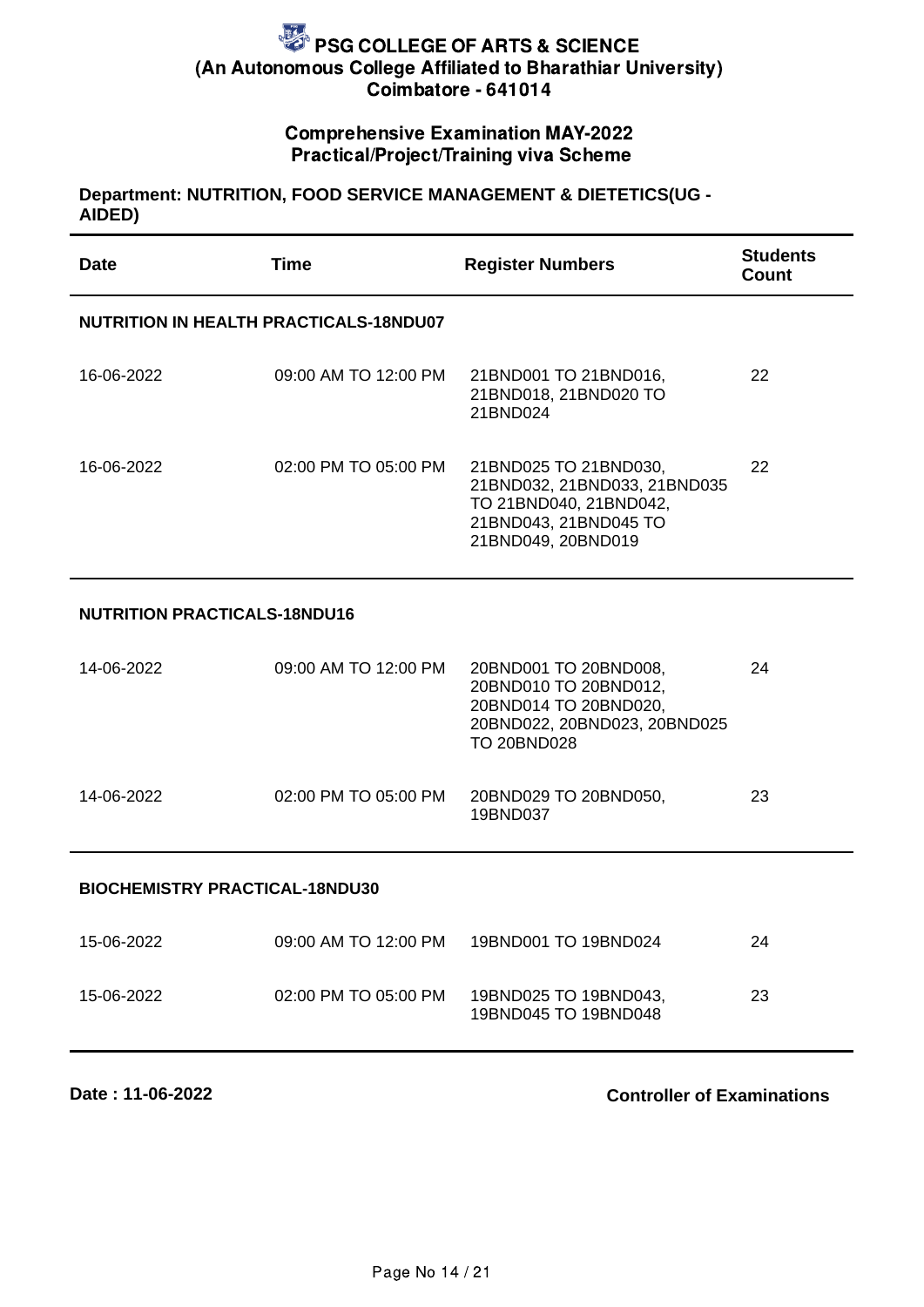### Comprehensive Examination MAY-2022 Practical/Project/Training viva Scheme

#### **Department: NUTRITION, FOOD SERVICE MANAGEMENT & DIETETICS(UG - AIDED)**

| <b>Date</b>                                   | <b>Time</b>          | <b>Register Numbers</b>                                                                                                        | <b>Students</b><br><b>Count</b> |  |
|-----------------------------------------------|----------------------|--------------------------------------------------------------------------------------------------------------------------------|---------------------------------|--|
| <b>NUTRITION IN HEALTH PRACTICALS-18NDU07</b> |                      |                                                                                                                                |                                 |  |
| 16-06-2022                                    | 09:00 AM TO 12:00 PM | 21BND001 TO 21BND016,<br>21BND018, 21BND020 TO<br>21BND024                                                                     | 22                              |  |
| 16-06-2022                                    | 02:00 PM TO 05:00 PM | 21BND025 TO 21BND030,<br>21BND032, 21BND033, 21BND035<br>TO 21BND040, 21BND042,<br>21BND043, 21BND045 TO<br>21BND049, 20BND019 | 22                              |  |
| <b>NUTRITION PRACTICALS-18NDU16</b>           |                      |                                                                                                                                |                                 |  |
| 14-06-2022                                    | 09:00 AM TO 12:00 PM | 20BND001 TO 20BND008,<br>20BND010 TO 20BND012,<br>20BND014 TO 20BND020,<br>20BND022, 20BND023, 20BND025<br><b>TO 20BND028</b>  | 24                              |  |
| 14-06-2022                                    | 02:00 PM TO 05:00 PM | 20BND029 TO 20BND050,<br>19BND037                                                                                              | 23                              |  |
| <b>BIOCHEMISTRY PRACTICAL-18NDU30</b>         |                      |                                                                                                                                |                                 |  |
| 15-06-2022                                    | 09:00 AM TO 12:00 PM | 19BND001 TO 19BND024                                                                                                           | 24                              |  |
| 15-06-2022                                    | 02:00 PM TO 05:00 PM | 19BND025 TO 19BND043,<br>19BND045 TO 19BND048                                                                                  | 23                              |  |

**Date : 11-06-2022**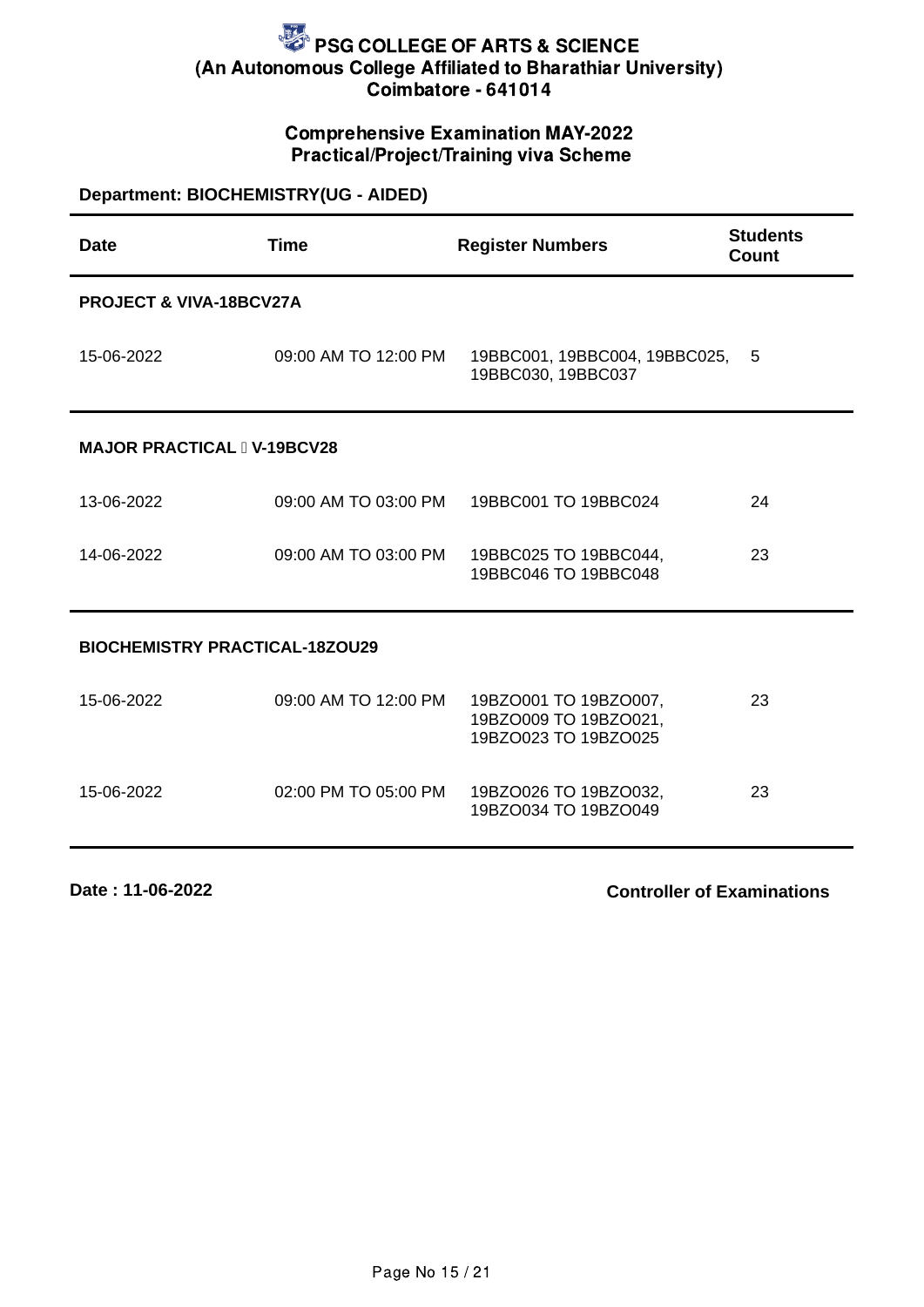### Comprehensive Examination MAY-2022 Practical/Project/Training viva Scheme

| Department: BIOCHEMISTRY(UG - AIDED)  |                      |                                                                        |                                 |
|---------------------------------------|----------------------|------------------------------------------------------------------------|---------------------------------|
| <b>Date</b>                           | <b>Time</b>          | <b>Register Numbers</b>                                                | <b>Students</b><br><b>Count</b> |
| PROJECT & VIVA-18BCV27A               |                      |                                                                        |                                 |
| 15-06-2022                            | 09:00 AM TO 12:00 PM | 19BBC001, 19BBC004, 19BBC025,<br>19BBC030, 19BBC037                    | 5                               |
| <b>MAJOR PRACTICAL I V-19BCV28</b>    |                      |                                                                        |                                 |
| 13-06-2022                            | 09:00 AM TO 03:00 PM | 19BBC001 TO 19BBC024                                                   | 24                              |
| 14-06-2022                            | 09:00 AM TO 03:00 PM | 19BBC025 TO 19BBC044,<br>19BBC046 TO 19BBC048                          | 23                              |
| <b>BIOCHEMISTRY PRACTICAL-18ZOU29</b> |                      |                                                                        |                                 |
| 15-06-2022                            | 09:00 AM TO 12:00 PM | 19BZO001 TO 19BZO007,<br>19BZO009 TO 19BZO021,<br>19BZO023 TO 19BZO025 | 23                              |
| 15-06-2022                            | 02:00 PM TO 05:00 PM | 19BZO026 TO 19BZO032,<br>19BZO034 TO 19BZO049                          | 23                              |

**Date : 11-06-2022**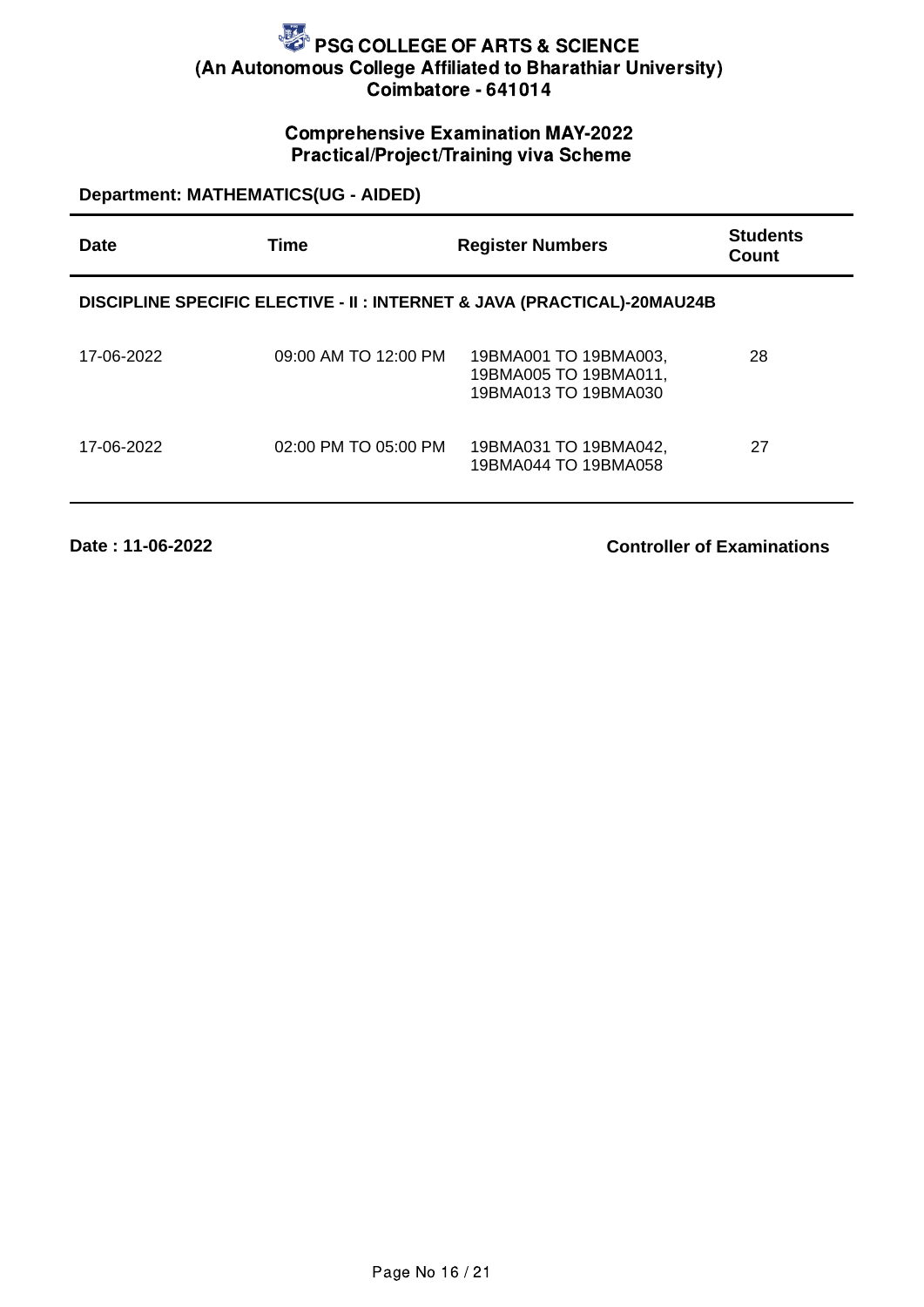### Comprehensive Examination MAY-2022 Practical/Project/Training viva Scheme

**Department: MATHEMATICS(UG - AIDED)**

| <b>Date</b> | Time                 | <b>Register Numbers</b>                                                  | <b>Students</b><br>Count |
|-------------|----------------------|--------------------------------------------------------------------------|--------------------------|
|             |                      | DISCIPLINE SPECIFIC ELECTIVE - II : INTERNET & JAVA (PRACTICAL)-20MAU24B |                          |
| 17-06-2022  | 09:00 AM TO 12:00 PM | 19BMA001 TO 19BMA003,<br>19BMA005 TO 19BMA011,<br>19BMA013 TO 19BMA030   | 28                       |
| 17-06-2022  | 02:00 PM TO 05:00 PM | 19BMA031 TO 19BMA042,<br>19BMA044 TO 19BMA058                            | 27                       |

**Date : 11-06-2022**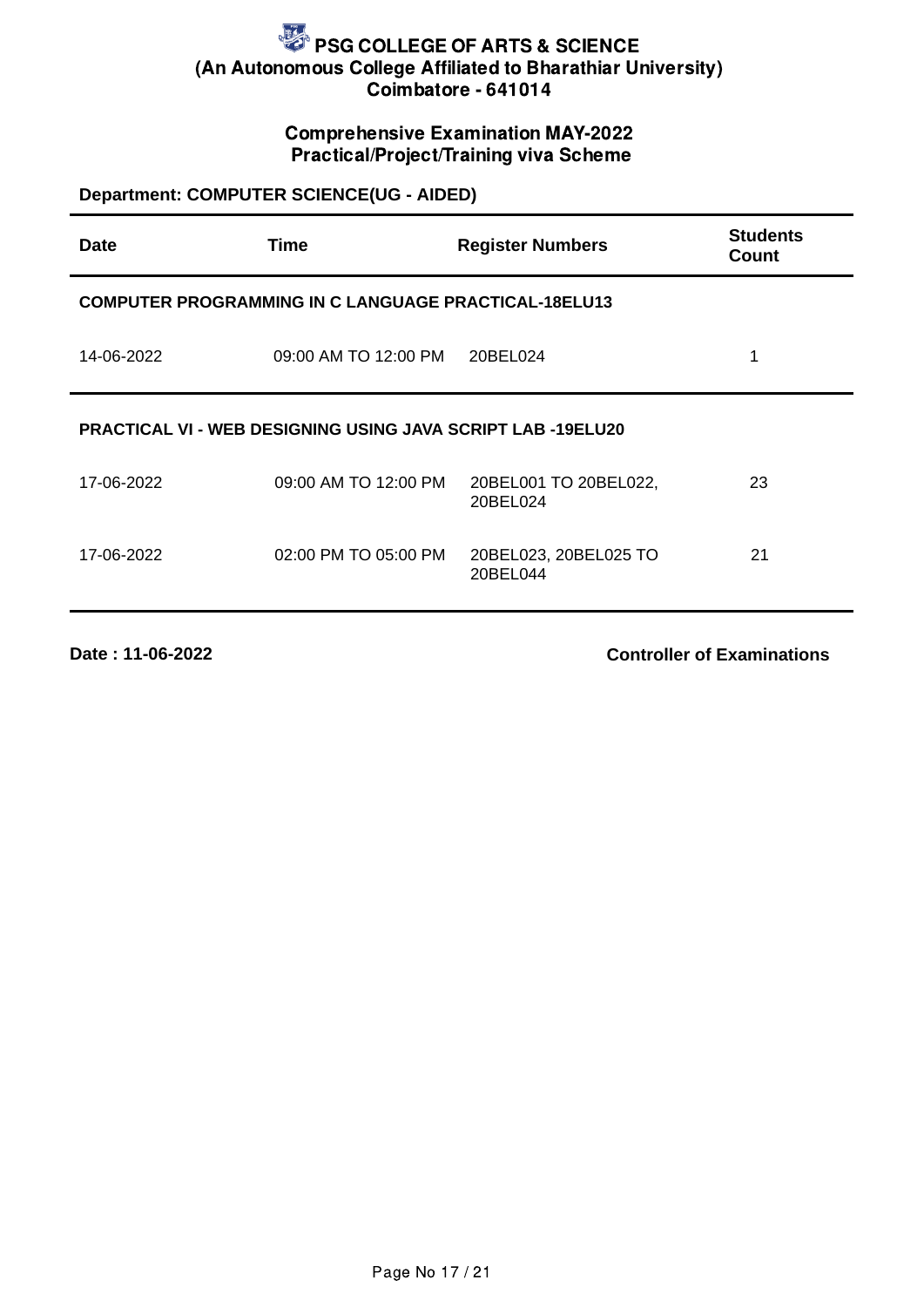### Comprehensive Examination MAY-2022 Practical/Project/Training viva Scheme

# **Department: COMPUTER SCIENCE(UG - AIDED)**

| <b>Date</b>                                                        | <b>Time</b>                                                 | <b>Register Numbers</b>           | <b>Students</b><br>Count |
|--------------------------------------------------------------------|-------------------------------------------------------------|-----------------------------------|--------------------------|
|                                                                    | <b>COMPUTER PROGRAMMING IN C LANGUAGE PRACTICAL-18ELU13</b> |                                   |                          |
| 14-06-2022                                                         | 09:00 AM TO 12:00 PM                                        | 20BEL024                          | 1                        |
| <b>PRACTICAL VI - WEB DESIGNING USING JAVA SCRIPT LAB -19ELU20</b> |                                                             |                                   |                          |
| 17-06-2022                                                         | 09:00 AM TO 12:00 PM                                        | 20BEL001 TO 20BEL022,<br>20BEL024 | 23                       |
| 17-06-2022                                                         | 02:00 PM TO 05:00 PM                                        | 20BEL023, 20BEL025 TO<br>20BEL044 | 21                       |
|                                                                    |                                                             |                                   |                          |

**Date : 11-06-2022**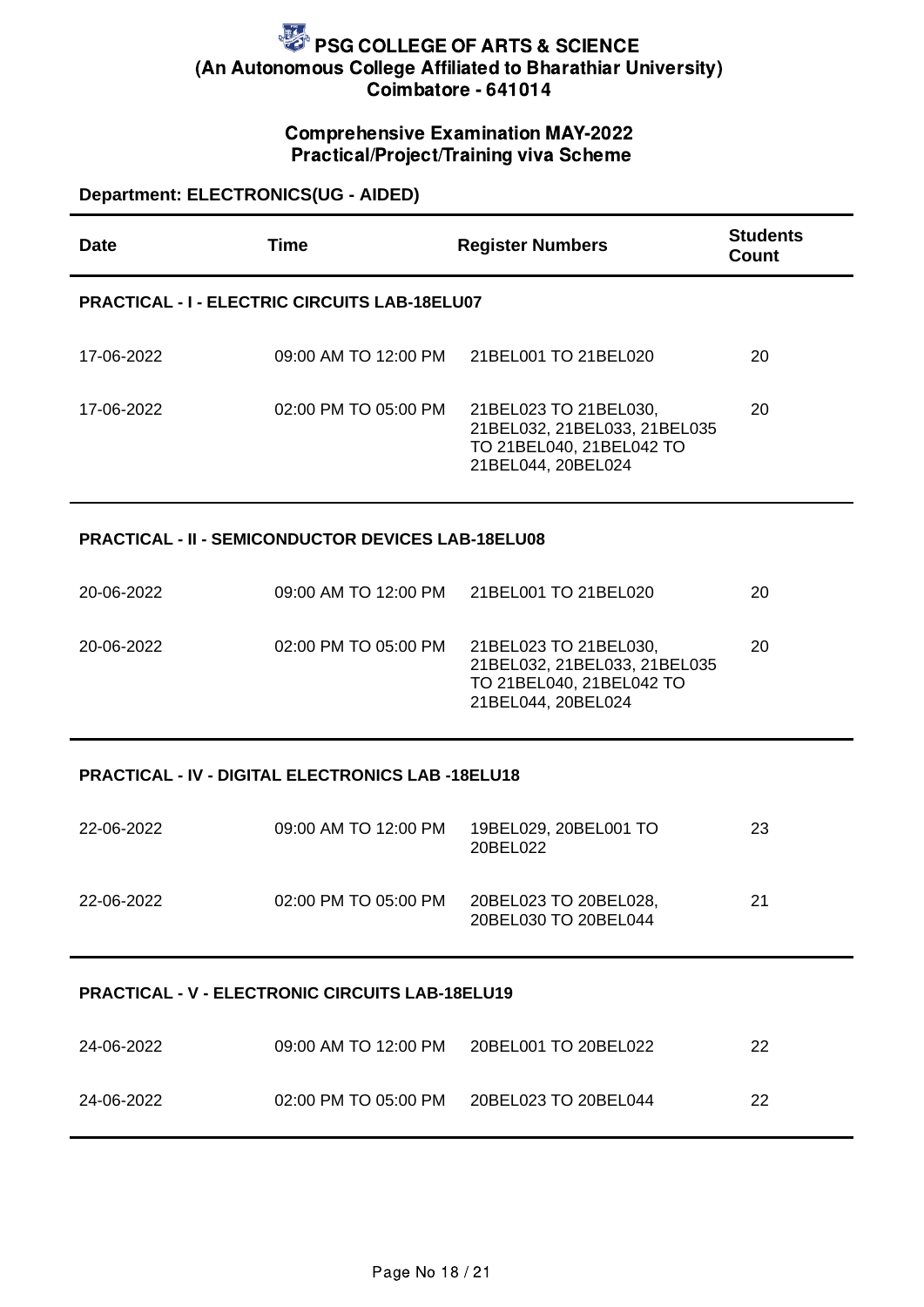### Comprehensive Examination MAY-2022 Practical/Project/Training viva Scheme

### **Department: ELECTRONICS(UG - AIDED)**

| <b>Date</b> | Time                                                      | <b>Register Numbers</b>                                                                                 | <b>Students</b><br><b>Count</b> |
|-------------|-----------------------------------------------------------|---------------------------------------------------------------------------------------------------------|---------------------------------|
|             | <b>PRACTICAL - I - ELECTRIC CIRCUITS LAB-18ELU07</b>      |                                                                                                         |                                 |
| 17-06-2022  | 09:00 AM TO 12:00 PM                                      | 21BEL001 TO 21BEL020                                                                                    | 20                              |
| 17-06-2022  | 02:00 PM TO 05:00 PM                                      | 21BEL023 TO 21BEL030,<br>21BEL032, 21BEL033, 21BEL035<br>TO 21BEL040, 21BEL042 TO<br>21BEL044, 20BEL024 | 20                              |
|             | <b>PRACTICAL - II - SEMICONDUCTOR DEVICES LAB-18ELU08</b> |                                                                                                         |                                 |
| 20-06-2022  | 09:00 AM TO 12:00 PM                                      | 21BEL001 TO 21BEL020                                                                                    | 20                              |
| 20-06-2022  | 02:00 PM TO 05:00 PM                                      | 21BEL023 TO 21BEL030,<br>21BEL032, 21BEL033, 21BEL035<br>TO 21BEL040, 21BEL042 TO<br>21BEL044, 20BEL024 | 20                              |
|             | <b>PRACTICAL - IV - DIGITAL ELECTRONICS LAB -18ELU18</b>  |                                                                                                         |                                 |
| 22-06-2022  | 09:00 AM TO 12:00 PM                                      | 19BEL029, 20BEL001 TO<br>20BEL022                                                                       | 23                              |
| 22-06-2022  | 02:00 PM TO 05:00 PM                                      | 20BEL023 TO 20BEL028,<br>20BEL030 TO 20BEL044                                                           | 21                              |
|             | <b>PRACTICAL - V - ELECTRONIC CIRCUITS LAB-18ELU19</b>    |                                                                                                         |                                 |
| 24-06-2022  | 09:00 AM TO 12:00 PM                                      | 20BEL001 TO 20BEL022                                                                                    | 22                              |
| 24-06-2022  | 02:00 PM TO 05:00 PM                                      | 20BEL023 TO 20BEL044                                                                                    | 22                              |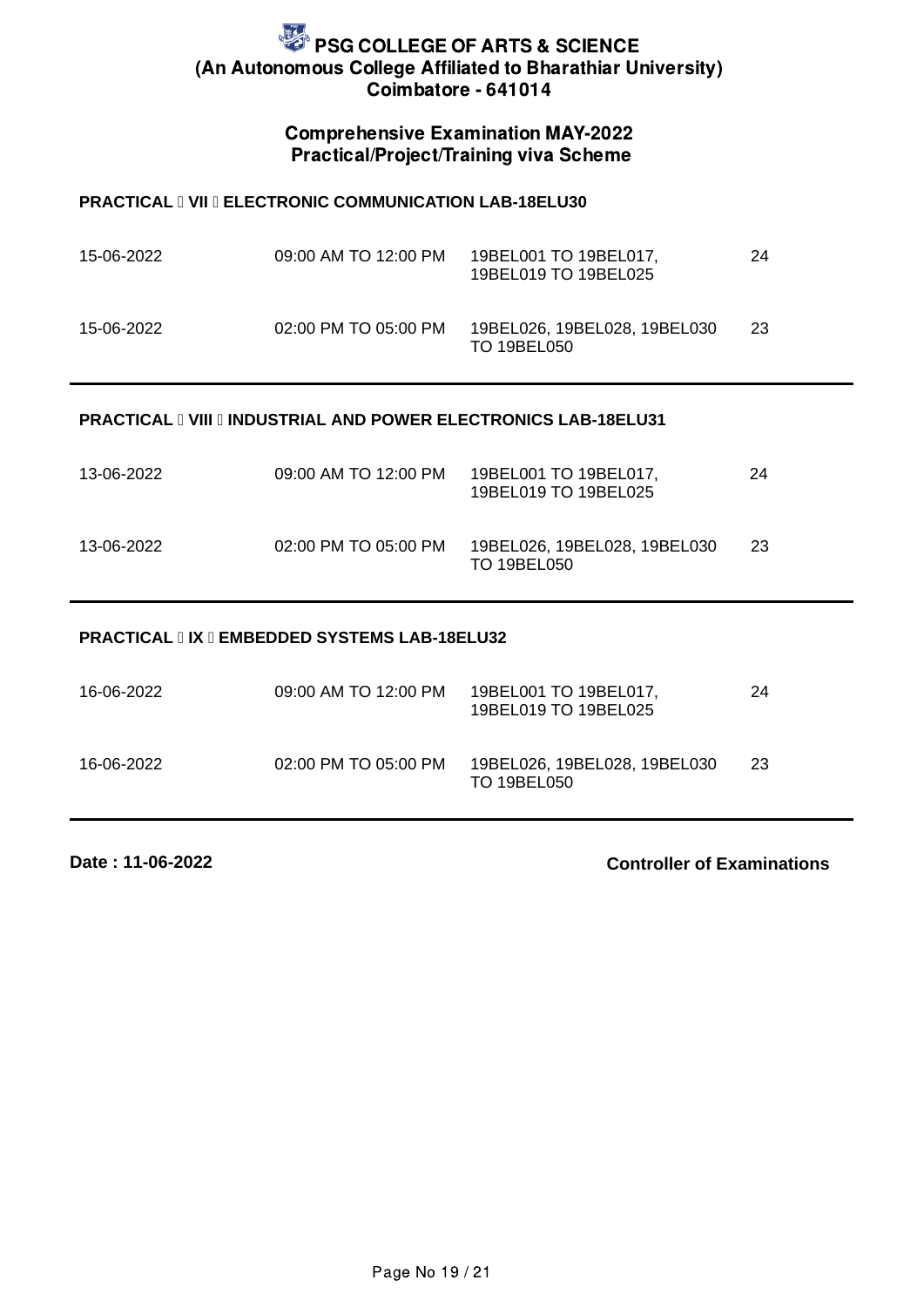#### Comprehensive Examination MAY-2022 Practical/Project/Training viva Scheme

#### **PRACTICAL I VII I ELECTRONIC COMMUNICATION LAB-18ELU30**

| 15-06-2022 | 09:00 AM TO 12:00 PM | 19BEL001 TO 19BEL017,<br>19BEL019 TO 19BEL025    | 24  |
|------------|----------------------|--------------------------------------------------|-----|
| 15-06-2022 | 02:00 PM TO 05:00 PM | 19BEL026.19BEL028.19BEL030<br><b>TO 19BEL050</b> | -23 |

#### **PRACTICAL II VIII II INDUSTRIAL AND POWER ELECTRONICS LAB-18ELU31**

| 13-06-2022 | 09:00 AM TO 12:00 PM | 19BEL001 TO 19BEL017,<br>19BEL019 TO 19BEL025      | 24 |
|------------|----------------------|----------------------------------------------------|----|
| 13-06-2022 | 02:00 PM TO 05:00 PM | 19BEL026, 19BEL028, 19BEL030<br><b>TO 19BEL050</b> | 23 |

#### **PRACTICAL IIX II EMBEDDED SYSTEMS LAB-18ELU32**

| 16-06-2022 | 09:00 AM TO 12:00 PM | 19BEL001 TO 19BEL017,<br>19BEL019 TO 19BEL025    | 24 |
|------------|----------------------|--------------------------------------------------|----|
| 16-06-2022 | 02:00 PM TO 05:00 PM | 19BEL026.19BEL028.19BEL030<br><b>TO 19BEL050</b> | 23 |

**Date : 11-06-2022**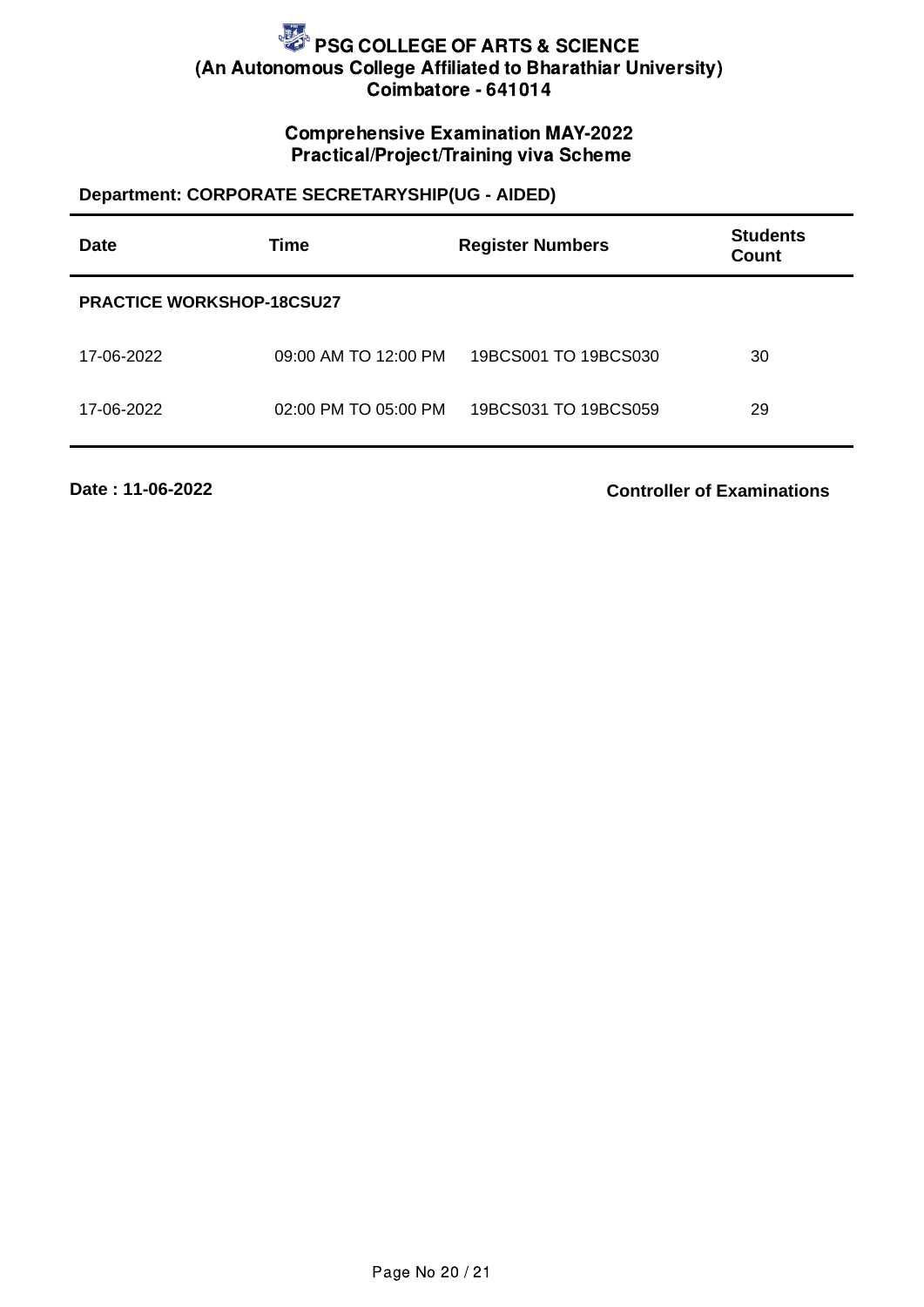### Comprehensive Examination MAY-2022 Practical/Project/Training viva Scheme

### **Department: CORPORATE SECRETARYSHIP(UG - AIDED)**

| <b>Date</b>                      | <b>Time</b>          | <b>Register Numbers</b> | <b>Students</b><br><b>Count</b> |
|----------------------------------|----------------------|-------------------------|---------------------------------|
| <b>PRACTICE WORKSHOP-18CSU27</b> |                      |                         |                                 |
| 17-06-2022                       | 09:00 AM TO 12:00 PM | 19BCS001 TO 19BCS030    | 30                              |
| 17-06-2022                       | 02:00 PM TO 05:00 PM | 19BCS031 TO 19BCS059    | 29                              |

**Date : 11-06-2022**